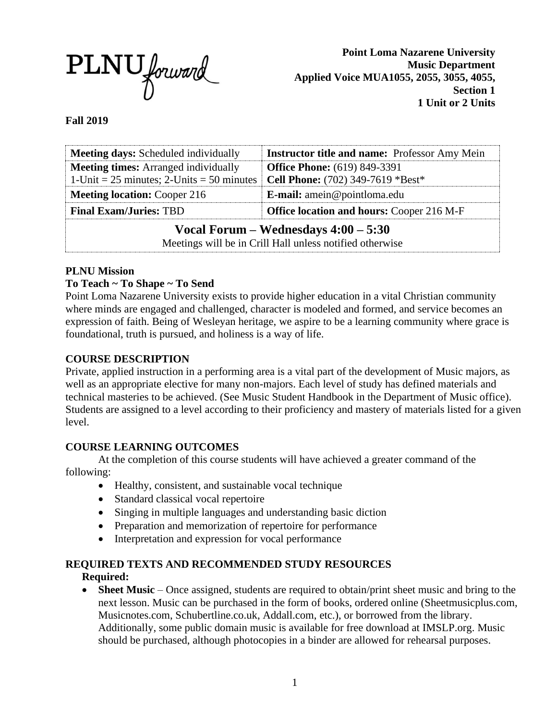

**Point Loma Nazarene University Music Department Applied Voice MUA1055, 2055, 3055, 4055, Section 1 1 Unit or 2 Units**

#### **Fall 2019**

| <b>Meeting days:</b> Scheduled individually                                                        | <b>Instructor title and name:</b> Professor Amy Mein |  |  |  |
|----------------------------------------------------------------------------------------------------|------------------------------------------------------|--|--|--|
| <b>Meeting times:</b> Arranged individually                                                        | <b>Office Phone:</b> (619) 849-3391                  |  |  |  |
| 1-Unit = $25$ minutes; 2-Units = $50$ minutes                                                      | Cell Phone: (702) 349-7619 *Best*                    |  |  |  |
| <b>Meeting location: Cooper 216</b>                                                                | E-mail: amein@pointloma.edu                          |  |  |  |
| <b>Final Exam/Juries: TBD</b>                                                                      | <b>Office location and hours: Cooper 216 M-F</b>     |  |  |  |
| Vocal Forum – Wednesdays $4:00 - 5:30$<br>Meetings will be in Crill Hall unless notified otherwise |                                                      |  |  |  |

#### **PLNU Mission**

#### **To Teach ~ To Shape ~ To Send**

Point Loma Nazarene University exists to provide higher education in a vital Christian community where minds are engaged and challenged, character is modeled and formed, and service becomes an expression of faith. Being of Wesleyan heritage, we aspire to be a learning community where grace is foundational, truth is pursued, and holiness is a way of life.

#### **COURSE DESCRIPTION**

Private, applied instruction in a performing area is a vital part of the development of Music majors, as well as an appropriate elective for many non-majors. Each level of study has defined materials and technical masteries to be achieved. (See Music Student Handbook in the Department of Music office). Students are assigned to a level according to their proficiency and mastery of materials listed for a given level.

#### **COURSE LEARNING OUTCOMES**

At the completion of this course students will have achieved a greater command of the following:

- Healthy, consistent, and sustainable vocal technique
- Standard classical vocal repertoire
- Singing in multiple languages and understanding basic diction
- Preparation and memorization of repertoire for performance
- Interpretation and expression for vocal performance

#### **REQUIRED TEXTS AND RECOMMENDED STUDY RESOURCES Required:**

• **Sheet Music** – Once assigned, students are required to obtain/print sheet music and bring to the next lesson. Music can be purchased in the form of books, ordered online (Sheetmusicplus.com, Musicnotes.com, Schubertline.co.uk, Addall.com, etc.), or borrowed from the library. Additionally, some public domain music is available for free download at IMSLP.org. Music should be purchased, although photocopies in a binder are allowed for rehearsal purposes.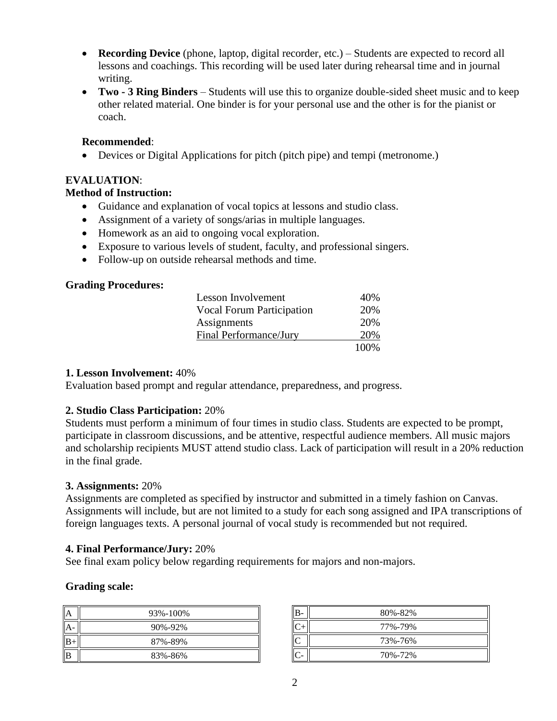- **Recording Device** (phone, laptop, digital recorder, etc.) Students are expected to record all lessons and coachings. This recording will be used later during rehearsal time and in journal writing.
- **Two - 3 Ring Binders** Students will use this to organize double-sided sheet music and to keep other related material. One binder is for your personal use and the other is for the pianist or coach.

### **Recommended**:

• Devices or Digital Applications for pitch (pitch pipe) and tempi (metronome.)

# **EVALUATION**:

# **Method of Instruction:**

- Guidance and explanation of vocal topics at lessons and studio class.
- Assignment of a variety of songs/arias in multiple languages.
- Homework as an aid to ongoing vocal exploration.
- Exposure to various levels of student, faculty, and professional singers.
- Follow-up on outside rehearsal methods and time.

## **Grading Procedures:**

| Lesson Involvement               | 40%   |
|----------------------------------|-------|
| <b>Vocal Forum Participation</b> | 20%   |
| Assignments                      | 20%   |
| Final Performance/Jury           | 20%   |
|                                  | 100\% |

# **1. Lesson Involvement:** 40%

Evaluation based prompt and regular attendance, preparedness, and progress.

# **2. Studio Class Participation:** 20%

Students must perform a minimum of four times in studio class. Students are expected to be prompt, participate in classroom discussions, and be attentive, respectful audience members. All music majors and scholarship recipients MUST attend studio class. Lack of participation will result in a 20% reduction in the final grade.

### **3. Assignments:** 20%

Assignments are completed as specified by instructor and submitted in a timely fashion on Canvas. Assignments will include, but are not limited to a study for each song assigned and IPA transcriptions of foreign languages texts. A personal journal of vocal study is recommended but not required.

### **4. Final Performance/Jury:** 20%

See final exam policy below regarding requirements for majors and non-majors.

### **Grading scale:**

| A    | 93%-100%      |  |
|------|---------------|--|
| A-   | $90\% - 92\%$ |  |
| $B+$ | 87%-89%       |  |
| B    | 83%-86%       |  |

| B- | 80%-82% |
|----|---------|
|    | 77%-79% |
| C  | 73%-76% |
|    | 70%-72% |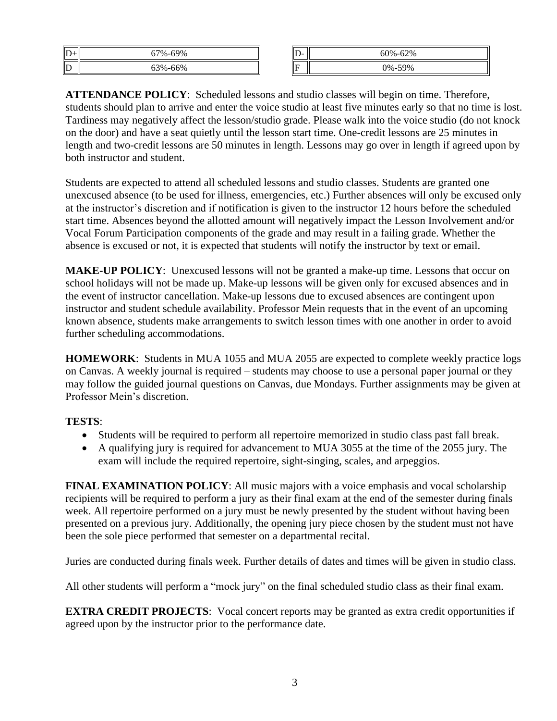| $\mathbf D$             | .69%<br>$7\%$             | II<br>. . | 52%<br>۵۵۰٬<br>$\eta$<br>n |
|-------------------------|---------------------------|-----------|----------------------------|
| $\overline{\mathbb{D}}$ | $-66%$<br>30 <sub>0</sub> | ∥F        | 59%<br>$\Omega_{\infty}$   |

**ATTENDANCE POLICY**: Scheduled lessons and studio classes will begin on time. Therefore, students should plan to arrive and enter the voice studio at least five minutes early so that no time is lost. Tardiness may negatively affect the lesson/studio grade. Please walk into the voice studio (do not knock on the door) and have a seat quietly until the lesson start time. One-credit lessons are 25 minutes in length and two-credit lessons are 50 minutes in length. Lessons may go over in length if agreed upon by both instructor and student.

Students are expected to attend all scheduled lessons and studio classes. Students are granted one unexcused absence (to be used for illness, emergencies, etc.) Further absences will only be excused only at the instructor's discretion and if notification is given to the instructor 12 hours before the scheduled start time. Absences beyond the allotted amount will negatively impact the Lesson Involvement and/or Vocal Forum Participation components of the grade and may result in a failing grade. Whether the absence is excused or not, it is expected that students will notify the instructor by text or email.

**MAKE-UP POLICY**: Unexcused lessons will not be granted a make-up time. Lessons that occur on school holidays will not be made up. Make-up lessons will be given only for excused absences and in the event of instructor cancellation. Make-up lessons due to excused absences are contingent upon instructor and student schedule availability. Professor Mein requests that in the event of an upcoming known absence, students make arrangements to switch lesson times with one another in order to avoid further scheduling accommodations.

**HOMEWORK**: Students in MUA 1055 and MUA 2055 are expected to complete weekly practice logs on Canvas. A weekly journal is required – students may choose to use a personal paper journal or they may follow the guided journal questions on Canvas, due Mondays. Further assignments may be given at Professor Mein's discretion.

### **TESTS**:

- Students will be required to perform all repertoire memorized in studio class past fall break.
- A qualifying jury is required for advancement to MUA 3055 at the time of the 2055 jury. The exam will include the required repertoire, sight-singing, scales, and arpeggios.

**FINAL EXAMINATION POLICY**: All music majors with a voice emphasis and vocal scholarship recipients will be required to perform a jury as their final exam at the end of the semester during finals week. All repertoire performed on a jury must be newly presented by the student without having been presented on a previous jury. Additionally, the opening jury piece chosen by the student must not have been the sole piece performed that semester on a departmental recital.

Juries are conducted during finals week. Further details of dates and times will be given in studio class.

All other students will perform a "mock jury" on the final scheduled studio class as their final exam.

**EXTRA CREDIT PROJECTS:** Vocal concert reports may be granted as extra credit opportunities if agreed upon by the instructor prior to the performance date.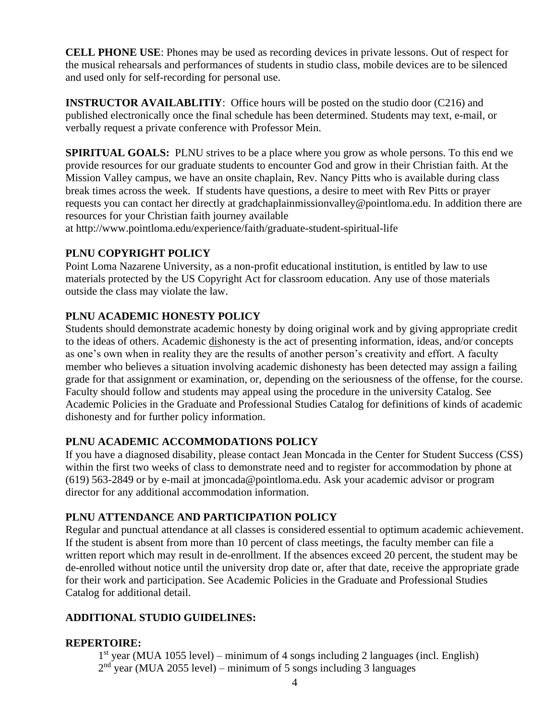**CELL PHONE USE**: Phones may be used as recording devices in private lessons. Out of respect for the musical rehearsals and performances of students in studio class, mobile devices are to be silenced and used only for self-recording for personal use.

**INSTRUCTOR AVAILABLITIY:** Office hours will be posted on the studio door (C216) and published electronically once the final schedule has been determined. Students may text, e-mail, or verbally request a private conference with Professor Mein.

**SPIRITUAL GOALS:** PLNU strives to be a place where you grow as whole persons. To this end we provide resources for our graduate students to encounter God and grow in their Christian faith. At the Mission Valley campus, we have an onsite chaplain, Rev. Nancy Pitts who is available during class break times across the week. If students have questions, a desire to meet with Rev Pitts or prayer requests you can contact her directly at gradchaplainmissionvalley@pointloma.edu. In addition there are resources for your Christian faith journey available

at http://www.pointloma.edu/experience/faith/graduate-student-spiritual-life

## **PLNU COPYRIGHT POLICY**

Point Loma Nazarene University, as a non-profit educational institution, is entitled by law to use materials protected by the US Copyright Act for classroom education. Any use of those materials outside the class may violate the law.

## **PLNU ACADEMIC HONESTY POLICY**

Students should demonstrate academic honesty by doing original work and by giving appropriate credit to the ideas of others. Academic dishonesty is the act of presenting information, ideas, and/or concepts as one's own when in reality they are the results of another person's creativity and effort. A faculty member who believes a situation involving academic dishonesty has been detected may assign a failing grade for that assignment or examination, or, depending on the seriousness of the offense, for the course. Faculty should follow and students may appeal using the procedure in the university Catalog. See Academic Policies in the Graduate and Professional Studies Catalog for definitions of kinds of academic dishonesty and for further policy information.

### **PLNU ACADEMIC ACCOMMODATIONS POLICY**

If you have a diagnosed disability, please contact Jean Moncada in the Center for Student Success (CSS) within the first two weeks of class to demonstrate need and to register for accommodation by phone at (619) 563-2849 or by e-mail at jmoncada@pointloma.edu. Ask your academic advisor or program director for any additional accommodation information.

### **PLNU ATTENDANCE AND PARTICIPATION POLICY**

Regular and punctual attendance at all classes is considered essential to optimum academic achievement. If the student is absent from more than 10 percent of class meetings, the faculty member can file a written report which may result in de-enrollment. If the absences exceed 20 percent, the student may be de-enrolled without notice until the university drop date or, after that date, receive the appropriate grade for their work and participation. See Academic Policies in the Graduate and Professional Studies Catalog for additional detail.

## **ADDITIONAL STUDIO GUIDELINES:**

### **REPERTOIRE:**

1 st year (MUA 1055 level) – minimum of 4 songs including 2 languages (incl. English)  $2<sup>nd</sup>$  year (MUA 2055 level) – minimum of 5 songs including 3 languages